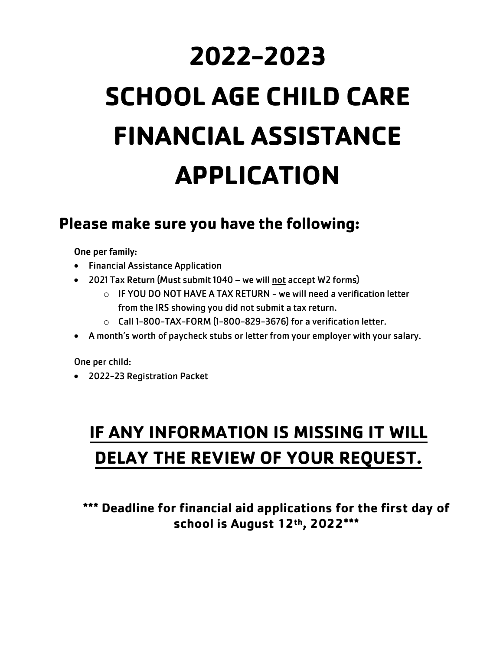# **2022-2023 SCHOOL AGE CHILD CARE FINANCIAL ASSISTANCE APPLICATION**

### **Please make sure you have the following:**

One per family:

- Financial Assistance Application
- 2021 Tax Return (Must submit 1040 we will not accept W2 forms)
	- $\circ$  IF YOU DO NOT HAVE A TAX RETURN we will need a verification letter from the IRS showing you did not submit a tax return.
	- $\circ$  Call 1-800-TAX-FORM (1-800-829-3676) for a verification letter.
- A month's worth of paycheck stubs or letter from your employer with your salary.

One per child:

• 2022-23 Registration Packet

## **IF ANY INFORMATION IS MISSING IT WILL DELAY THE REVIEW OF YOUR REQUEST.**

**\*\*\* Deadline for financial aid applications for the first day of school is August 12th , 2022\*\*\***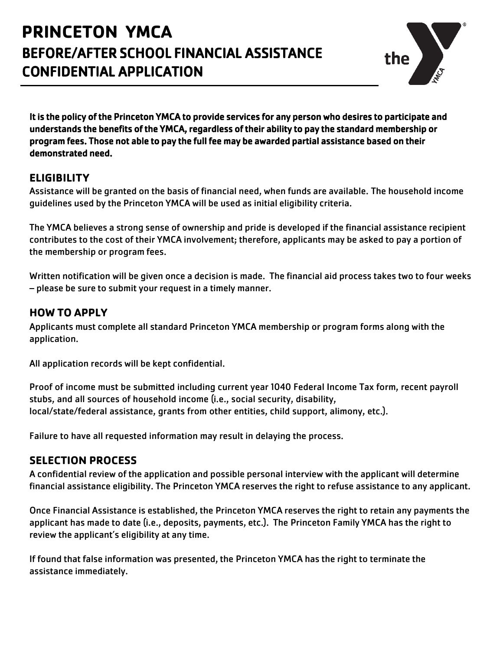## **PRINCETON YMCA** BEFORE/AFTER SCHOOL FINANCIAL ASSISTANCE CONFIDENTIAL APPLICATION



It is the policy of the Princeton YMCA to provide services for any person who desires to participate and understands the benefits of the YMCA, regardless of their ability to pay the standard membership or program fees. Those not able to pay the full fee may be awarded partial assistance based on their demonstrated need.

#### **ELIGIBILITY**

Assistance will be granted on the basis of financial need, when funds are available. The household income guidelines used by the Princeton YMCA will be used as initial eligibility criteria.

The YMCA believes a strong sense of ownership and pride is developed if the financial assistance recipient contributes to the cost of their YMCA involvement; therefore, applicants may be asked to pay a portion of the membership or program fees.

Written notification will be given once a decision is made. The financial aid process takes two to four weeks – please be sure to submit your request in a timely manner.

#### **HOW TO APPLY**

Applicants must complete all standard Princeton YMCA membership or program forms along with the application.

All application records will be kept confidential.

Proof of income must be submitted including current year 1040 Federal Income Tax form, recent payroll stubs, and all sources of household income (i.e., social security, disability, local/state/federal assistance, grants from other entities, child support, alimony, etc.).

Failure to have all requested information may result in delaying the process.

#### **SELECTION PROCESS**

A confidential review of the application and possible personal interview with the applicant will determine financial assistance eligibility. The Princeton YMCA reserves the right to refuse assistance to any applicant.

Once Financial Assistance is established, the Princeton YMCA reserves the right to retain any payments the applicant has made to date (i.e., deposits, payments, etc.). The Princeton Family YMCA has the right to review the applicant's eligibility at any time.

If found that false information was presented, the Princeton YMCA has the right to terminate the assistance immediately.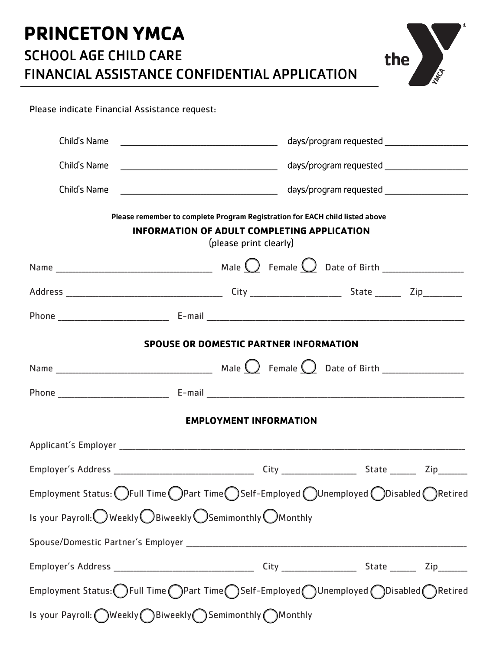## **PRINCETON YMCA** SCHOOL AGE CHILD CARE FINANCIAL ASSISTANCE CONFIDENTIAL APPLICATION



Please indicate Financial Assistance request:

| Child's Name<br><u> 1989 - Johann Barbara, martin amerikan basal da</u>                                                                                      |  |  | days/program requested _____________________ |  |  |  |  |
|--------------------------------------------------------------------------------------------------------------------------------------------------------------|--|--|----------------------------------------------|--|--|--|--|
| Child's Name                                                                                                                                                 |  |  | days/program requested ____________________  |  |  |  |  |
| Child's Name                                                                                                                                                 |  |  |                                              |  |  |  |  |
| Please remember to complete Program Registration for EACH child listed above<br><b>INFORMATION OF ADULT COMPLETING APPLICATION</b><br>(please print clearly) |  |  |                                              |  |  |  |  |
|                                                                                                                                                              |  |  |                                              |  |  |  |  |
|                                                                                                                                                              |  |  |                                              |  |  |  |  |
|                                                                                                                                                              |  |  |                                              |  |  |  |  |
| <b>SPOUSE OR DOMESTIC PARTNER INFORMATION</b>                                                                                                                |  |  |                                              |  |  |  |  |
|                                                                                                                                                              |  |  |                                              |  |  |  |  |
|                                                                                                                                                              |  |  |                                              |  |  |  |  |
| <b>EMPLOYMENT INFORMATION</b>                                                                                                                                |  |  |                                              |  |  |  |  |
|                                                                                                                                                              |  |  |                                              |  |  |  |  |
|                                                                                                                                                              |  |  |                                              |  |  |  |  |
| Employment Status: $\bigcirc$ Full Time $\bigcirc$ Part Time $\bigcirc$ Self-Employed $\bigcirc$ Unemployed $\bigcirc$ Disabled $\bigcirc$ Retired           |  |  |                                              |  |  |  |  |
| Is your Payroll: Weekly OBiweekly OSemimonthly OMonthly                                                                                                      |  |  |                                              |  |  |  |  |
|                                                                                                                                                              |  |  |                                              |  |  |  |  |
|                                                                                                                                                              |  |  |                                              |  |  |  |  |
| Employment Status: OFull Time OPart Time OSelf-Employed OUnemployed ODisabled ORetired                                                                       |  |  |                                              |  |  |  |  |
| Is your Payroll: OWeekly OBiweekly OSemimonthly OMonthly                                                                                                     |  |  |                                              |  |  |  |  |